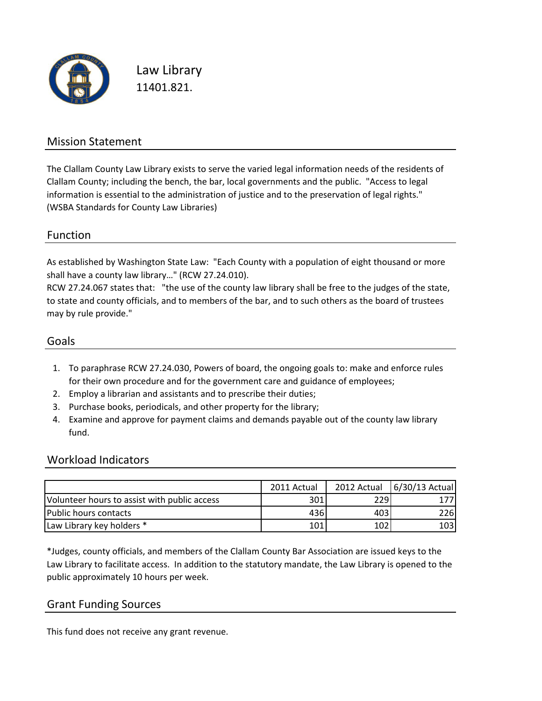

Law Library 11401.821.

#### Mission Statement

The Clallam County Law Library exists to serve the varied legal information needs of the residents of Clallam County; including the bench, the bar, local governments and the public. "Access to legal information is essential to the administration of justice and to the preservation of legal rights." (WSBA Standards for County Law Libraries)

#### Function

As established by Washington State Law: "Each County with a population of eight thousand or more shall have a county law library…" (RCW 27.24.010).

RCW 27.24.067 states that: "the use of the county law library shall be free to the judges of the state, to state and county officials, and to members of the bar, and to such others as the board of trustees may by rule provide."

#### Goals

- 1. To paraphrase RCW 27.24.030, Powers of board, the ongoing goals to: make and enforce rules for their own procedure and for the government care and guidance of employees;
- 2. Employ a librarian and assistants and to prescribe their duties;
- 3. Purchase books, periodicals, and other property for the library;
- 4. Examine and approve for payment claims and demands payable out of the county law library fund.

#### Workload Indicators

|                                              | 2011 Actual |      | 2012 Actual 6/30/13 Actual |
|----------------------------------------------|-------------|------|----------------------------|
| Volunteer hours to assist with public access | 301         | 2291 |                            |
| Public hours contacts                        | 436I        | 403  | 226                        |
| Law Library key holders *                    | 101         | 102  | 103                        |

\*Judges, county officials, and members of the Clallam County Bar Association are issued keys to the Law Library to facilitate access. In addition to the statutory mandate, the Law Library is opened to the public approximately 10 hours per week.

#### Grant Funding Sources

This fund does not receive any grant revenue.